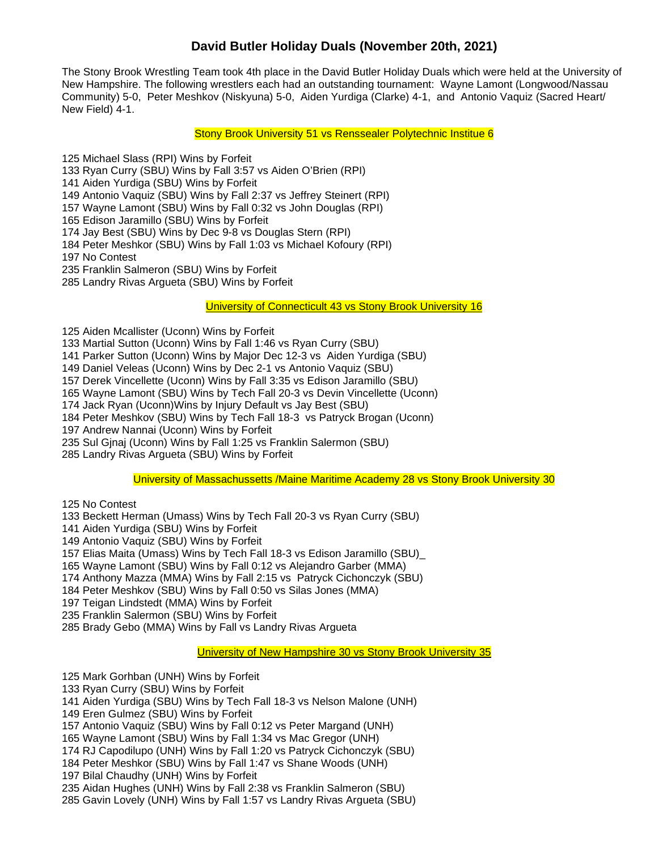## **David Butler Holiday Duals (November 20th, 2021)**

The Stony Brook Wrestling Team took 4th place in the David Butler Holiday Duals which were held at the University of New Hampshire. The following wrestlers each had an outstanding tournament: Wayne Lamont (Longwood/Nassau Community) 5-0, Peter Meshkov (Niskyuna) 5-0, Aiden Yurdiga (Clarke) 4-1, and Antonio Vaquiz (Sacred Heart/ New Field) 4-1.

Stony Brook University 51 vs Renssealer Polytechnic Institue 6

125 Michael Slass (RPI) Wins by Forfeit

133 Ryan Curry (SBU) Wins by Fall 3:57 vs Aiden O'Brien (RPI)

141 Aiden Yurdiga (SBU) Wins by Forfeit

149 Antonio Vaquiz (SBU) Wins by Fall 2:37 vs Jeffrey Steinert (RPI)

157 Wayne Lamont (SBU) Wins by Fall 0:32 vs John Douglas (RPI)

165 Edison Jaramillo (SBU) Wins by Forfeit

174 Jay Best (SBU) Wins by Dec 9-8 vs Douglas Stern (RPI)

184 Peter Meshkor (SBU) Wins by Fall 1:03 vs Michael Kofoury (RPI)

197 No Contest

235 Franklin Salmeron (SBU) Wins by Forfeit

285 Landry Rivas Argueta (SBU) Wins by Forfeit

University of Connecticult 43 vs Stony Brook University 16

125 Aiden Mcallister (Uconn) Wins by Forfeit

133 Martial Sutton (Uconn) Wins by Fall 1:46 vs Ryan Curry (SBU)

141 Parker Sutton (Uconn) Wins by Major Dec 12-3 vs Aiden Yurdiga (SBU)

149 Daniel Veleas (Uconn) Wins by Dec 2-1 vs Antonio Vaquiz (SBU)

157 Derek Vincellette (Uconn) Wins by Fall 3:35 vs Edison Jaramillo (SBU)

165 Wayne Lamont (SBU) Wins by Tech Fall 20-3 vs Devin Vincellette (Uconn)

174 Jack Ryan (Uconn)Wins by Injury Default vs Jay Best (SBU)

184 Peter Meshkov (SBU) Wins by Tech Fall 18-3 vs Patryck Brogan (Uconn)

197 Andrew Nannai (Uconn) Wins by Forfeit

235 Sul Gjnaj (Uconn) Wins by Fall 1:25 vs Franklin Salermon (SBU)

285 Landry Rivas Argueta (SBU) Wins by Forfeit

University of Massachussetts /Maine Maritime Academy 28 vs Stony Brook University 30

125 No Contest

133 Beckett Herman (Umass) Wins by Tech Fall 20-3 vs Ryan Curry (SBU)

141 Aiden Yurdiga (SBU) Wins by Forfeit

149 Antonio Vaquiz (SBU) Wins by Forfeit

157 Elias Maita (Umass) Wins by Tech Fall 18-3 vs Edison Jaramillo (SBU)\_

165 Wayne Lamont (SBU) Wins by Fall 0:12 vs Alejandro Garber (MMA)

174 Anthony Mazza (MMA) Wins by Fall 2:15 vs Patryck Cichonczyk (SBU)

184 Peter Meshkov (SBU) Wins by Fall 0:50 vs Silas Jones (MMA)

197 Teigan Lindstedt (MMA) Wins by Forfeit

235 Franklin Salermon (SBU) Wins by Forfeit

285 Brady Gebo (MMA) Wins by Fall vs Landry Rivas Argueta

University of New Hampshire 30 vs Stony Brook University 35

125 Mark Gorhban (UNH) Wins by Forfeit

133 Ryan Curry (SBU) Wins by Forfeit

141 Aiden Yurdiga (SBU) Wins by Tech Fall 18-3 vs Nelson Malone (UNH)

149 Eren Gulmez (SBU) Wins by Forfeit

157 Antonio Vaquiz (SBU) Wins by Fall 0:12 vs Peter Margand (UNH)

- 165 Wayne Lamont (SBU) Wins by Fall 1:34 vs Mac Gregor (UNH)
- 174 RJ Capodilupo (UNH) Wins by Fall 1:20 vs Patryck Cichonczyk (SBU)
- 184 Peter Meshkor (SBU) Wins by Fall 1:47 vs Shane Woods (UNH)

197 Bilal Chaudhy (UNH) Wins by Forfeit

235 Aidan Hughes (UNH) Wins by Fall 2:38 vs Franklin Salmeron (SBU)

285 Gavin Lovely (UNH) Wins by Fall 1:57 vs Landry Rivas Argueta (SBU)